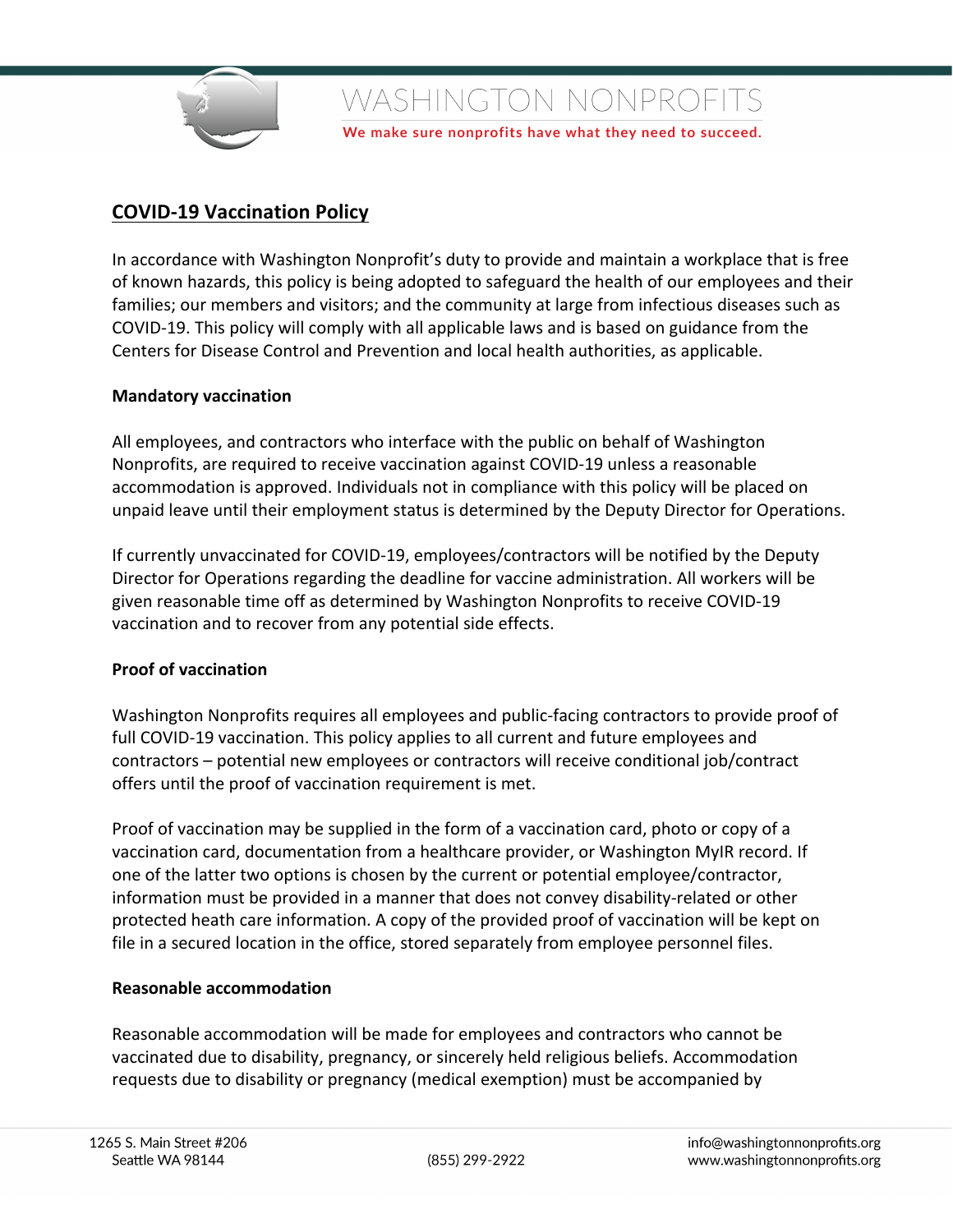

We make sure nonprofits have what they need to succeed.

# **COVID-19 Vaccination Policy**

In accordance with Washington Nonprofit's duty to provide and maintain a workplace that is free of known hazards, this policy is being adopted to safeguard the health of our employees and their families; our members and visitors; and the community at large from infectious diseases such as COVID-19. This policy will comply with all applicable laws and is based on guidance from the Centers for Disease Control and Prevention and local health authorities, as applicable.

### **Mandatory vaccination**

All employees, and contractors who interface with the public on behalf of Washington Nonprofits, are required to receive vaccination against COVID-19 unless a reasonable accommodation is approved. Individuals not in compliance with this policy will be placed on unpaid leave until their employment status is determined by the Deputy Director for Operations.

If currently unvaccinated for COVID-19, employees/contractors will be notified by the Deputy Director for Operations regarding the deadline for vaccine administration. All workers will be given reasonable time off as determined by Washington Nonprofits to receive COVID-19 vaccination and to recover from any potential side effects.

#### **Proof of vaccination**

Washington Nonprofits requires all employees and public-facing contractors to provide proof of full COVID-19 vaccination. This policy applies to all current and future employees and contractors – potential new employees or contractors will receive conditional job/contract offers until the proof of vaccination requirement is met.

Proof of vaccination may be supplied in the form of a vaccination card, photo or copy of a vaccination card, documentation from a healthcare provider, or Washington MyIR record. If one of the latter two options is chosen by the current or potential employee/contractor, information must be provided in a manner that does not convey disability-related or other protected heath care information. A copy of the provided proof of vaccination will be kept on file in a secured location in the office, stored separately from employee personnel files.

#### **Reasonable accommodation**

Reasonable accommodation will be made for employees and contractors who cannot be vaccinated due to disability, pregnancy, or sincerely held religious beliefs. Accommodation requests due to disability or pregnancy (medical exemption) must be accompanied by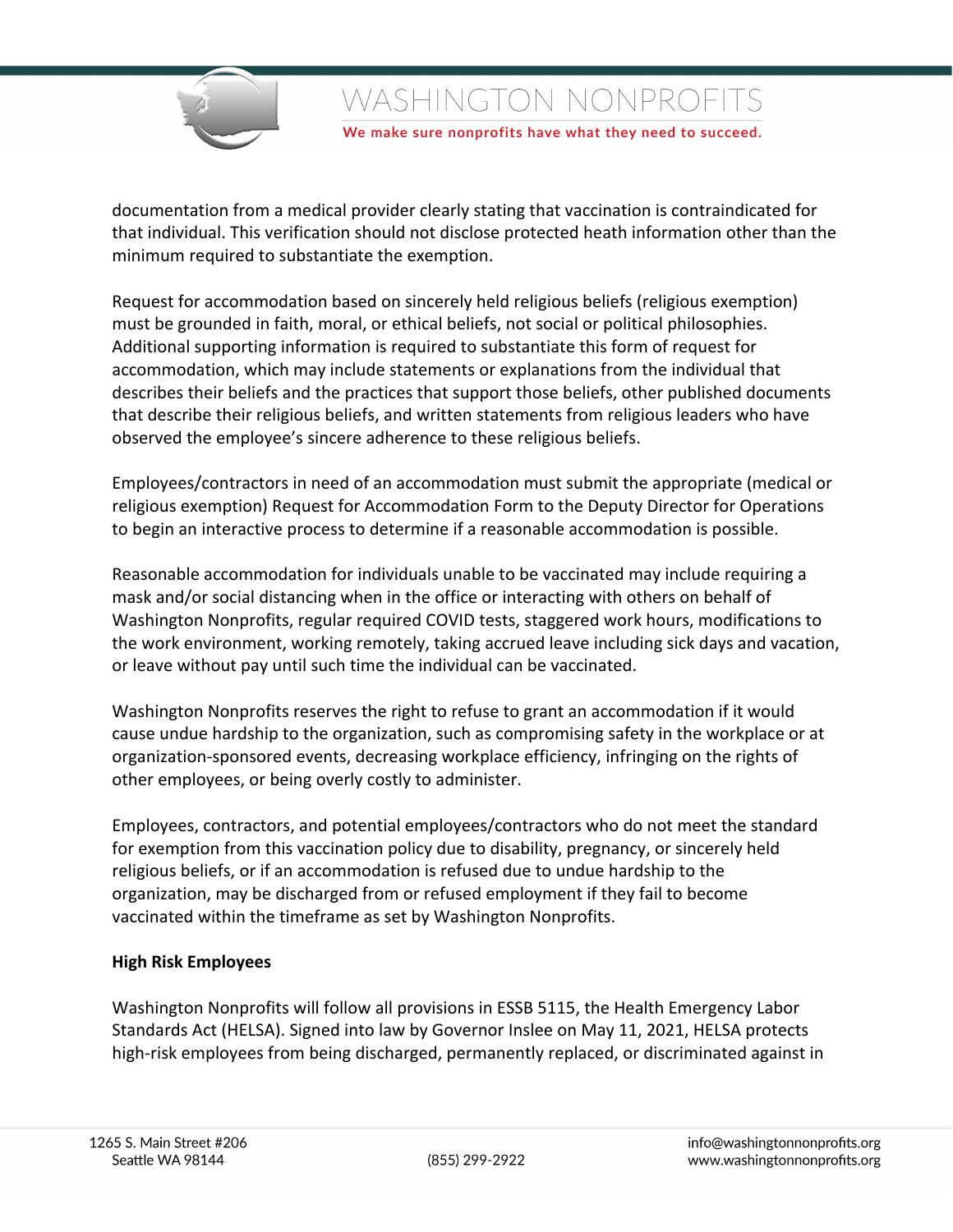

We make sure nonprofits have what they need to succeed.

documentation from a medical provider clearly stating that vaccination is contraindicated for that individual. This verification should not disclose protected heath information other than the minimum required to substantiate the exemption.

Request for accommodation based on sincerely held religious beliefs (religious exemption) must be grounded in faith, moral, or ethical beliefs, not social or political philosophies. Additional supporting information is required to substantiate this form of request for accommodation, which may include statements or explanations from the individual that describes their beliefs and the practices that support those beliefs, other published documents that describe their religious beliefs, and written statements from religious leaders who have observed the employee's sincere adherence to these religious beliefs.

Employees/contractors in need of an accommodation must submit the appropriate (medical or religious exemption) Request for Accommodation Form to the Deputy Director for Operations to begin an interactive process to determine if a reasonable accommodation is possible.

Reasonable accommodation for individuals unable to be vaccinated may include requiring a mask and/or social distancing when in the office or interacting with others on behalf of Washington Nonprofits, regular required COVID tests, staggered work hours, modifications to the work environment, working remotely, taking accrued leave including sick days and vacation, or leave without pay until such time the individual can be vaccinated.

Washington Nonprofits reserves the right to refuse to grant an accommodation if it would cause undue hardship to the organization, such as compromising safety in the workplace or at organization-sponsored events, decreasing workplace efficiency, infringing on the rights of other employees, or being overly costly to administer.

Employees, contractors, and potential employees/contractors who do not meet the standard for exemption from this vaccination policy due to disability, pregnancy, or sincerely held religious beliefs, or if an accommodation is refused due to undue hardship to the organization, may be discharged from or refused employment if they fail to become vaccinated within the timeframe as set by Washington Nonprofits.

## **High Risk Employees**

Washington Nonprofits will follow all provisions in ESSB 5115, the Health Emergency Labor Standards Act (HELSA). Signed into law by Governor Inslee on May 11, 2021, HELSA protects high-risk employees from being discharged, permanently replaced, or discriminated against in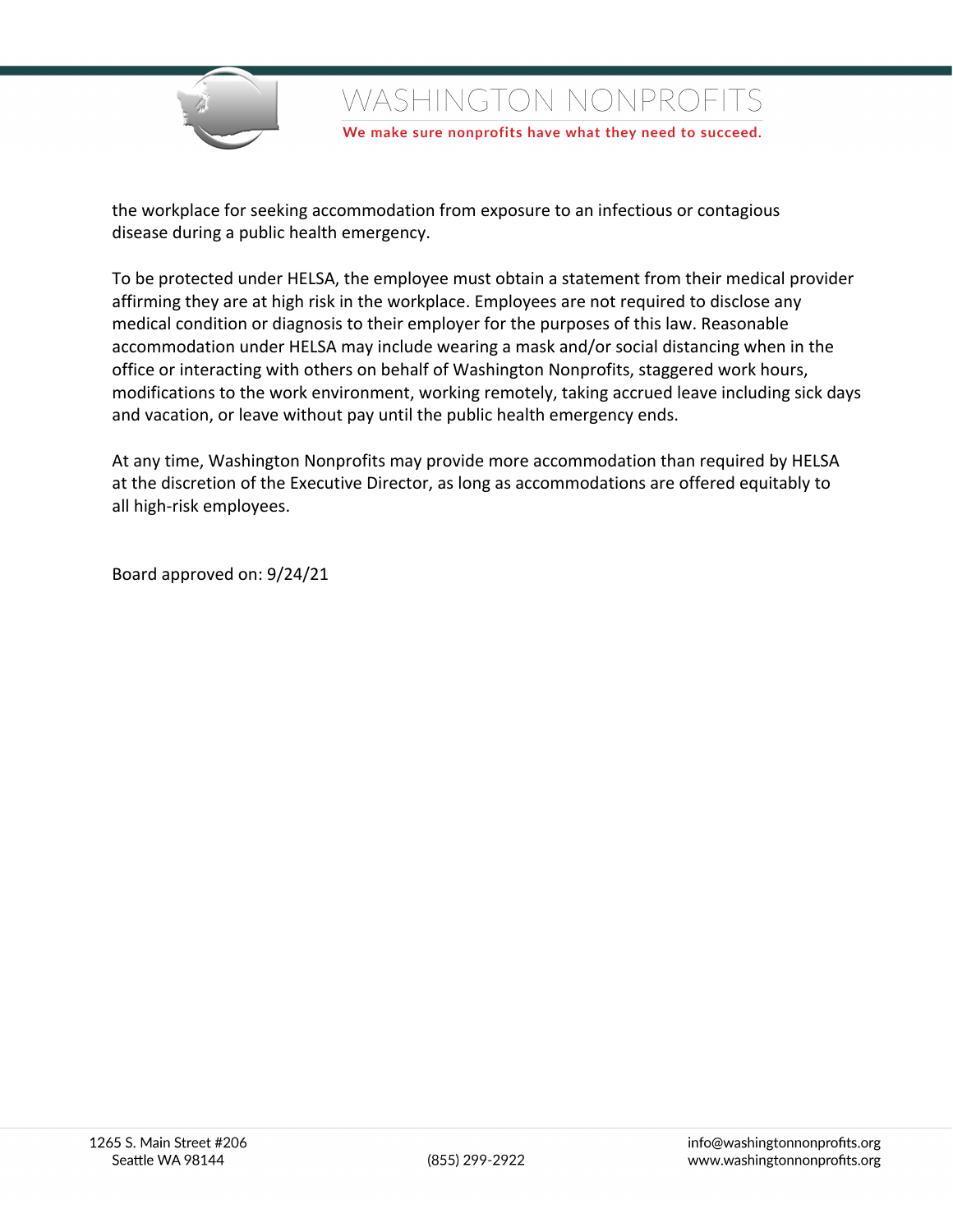

We make sure nonprofits have what they need to succeed.

the workplace for seeking accommodation from exposure to an infectious or contagious disease during a public health emergency.

To be protected under HELSA, the employee must obtain a statement from their medical provider affirming they are at high risk in the workplace. Employees are not required to disclose any medical condition or diagnosis to their employer for the purposes of this law. Reasonable accommodation under HELSA may include wearing a mask and/or social distancing when in the office or interacting with others on behalf of Washington Nonprofits, staggered work hours, modifications to the work environment, working remotely, taking accrued leave including sick days and vacation, or leave without pay until the public health emergency ends.

At any time, Washington Nonprofits may provide more accommodation than required by HELSA at the discretion of the Executive Director, as long as accommodations are offered equitably to all high-risk employees.

Board approved on: 9/24/21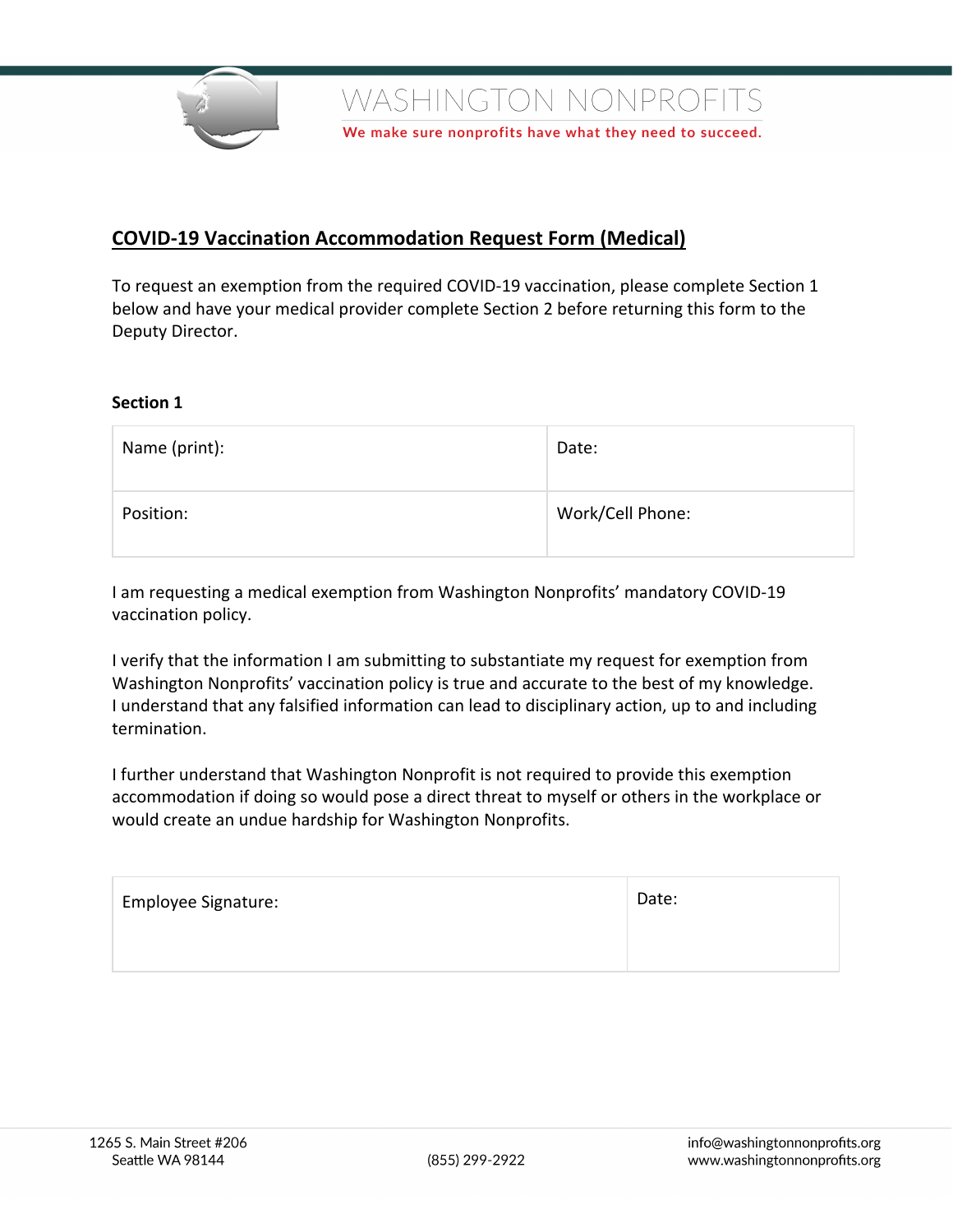

We make sure nonprofits have what they need to succeed.

## **COVID-19 Vaccination Accommodation Request Form (Medical)**

To request an exemption from the required COVID-19 vaccination, please complete Section 1 below and have your medical provider complete Section 2 before returning this form to the Deputy Director.

#### **Section 1**

| Name (print): | Date:            |
|---------------|------------------|
| Position:     | Work/Cell Phone: |

I am requesting a medical exemption from Washington Nonprofits' mandatory COVID-19 vaccination policy.

I verify that the information I am submitting to substantiate my request for exemption from Washington Nonprofits' vaccination policy is true and accurate to the best of my knowledge. I understand that any falsified information can lead to disciplinary action, up to and including termination.

I further understand that Washington Nonprofit is not required to provide this exemption accommodation if doing so would pose a direct threat to myself or others in the workplace or would create an undue hardship for Washington Nonprofits.

| <b>Employee Signature:</b> | Date: |
|----------------------------|-------|
|                            |       |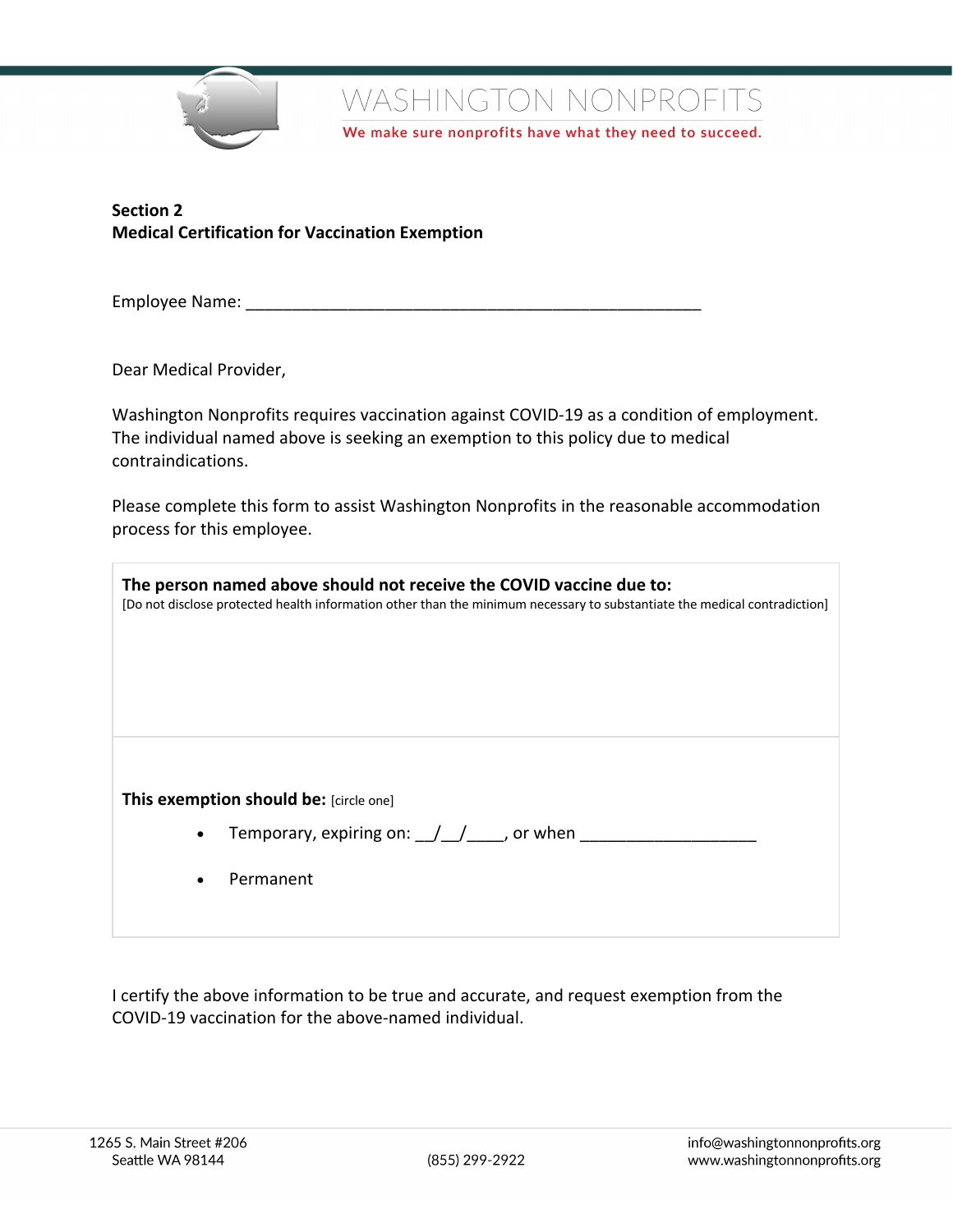

We make sure nonprofits have what they need to succeed.

## **Section 2 Medical Certification for Vaccination Exemption**

Employee Name: **Employee Name:**  $\blacksquare$ 

Dear Medical Provider,

Washington Nonprofits requires vaccination against COVID-19 as a condition of employment. The individual named above is seeking an exemption to this policy due to medical contraindications.

Please complete this form to assist Washington Nonprofits in the reasonable accommodation process for this employee.

| The person named above should not receive the COVID vaccine due to:<br>[Do not disclose protected health information other than the minimum necessary to substantiate the medical contradiction] |  |  |
|--------------------------------------------------------------------------------------------------------------------------------------------------------------------------------------------------|--|--|
| This exemption should be: [circle one]<br>Temporary, expiring on: $\frac{1}{2}$ / $\frac{1}{2}$ , or when<br>$\bullet$<br>Permanent                                                              |  |  |

I certify the above information to be true and accurate, and request exemption from the COVID-19 vaccination for the above-named individual.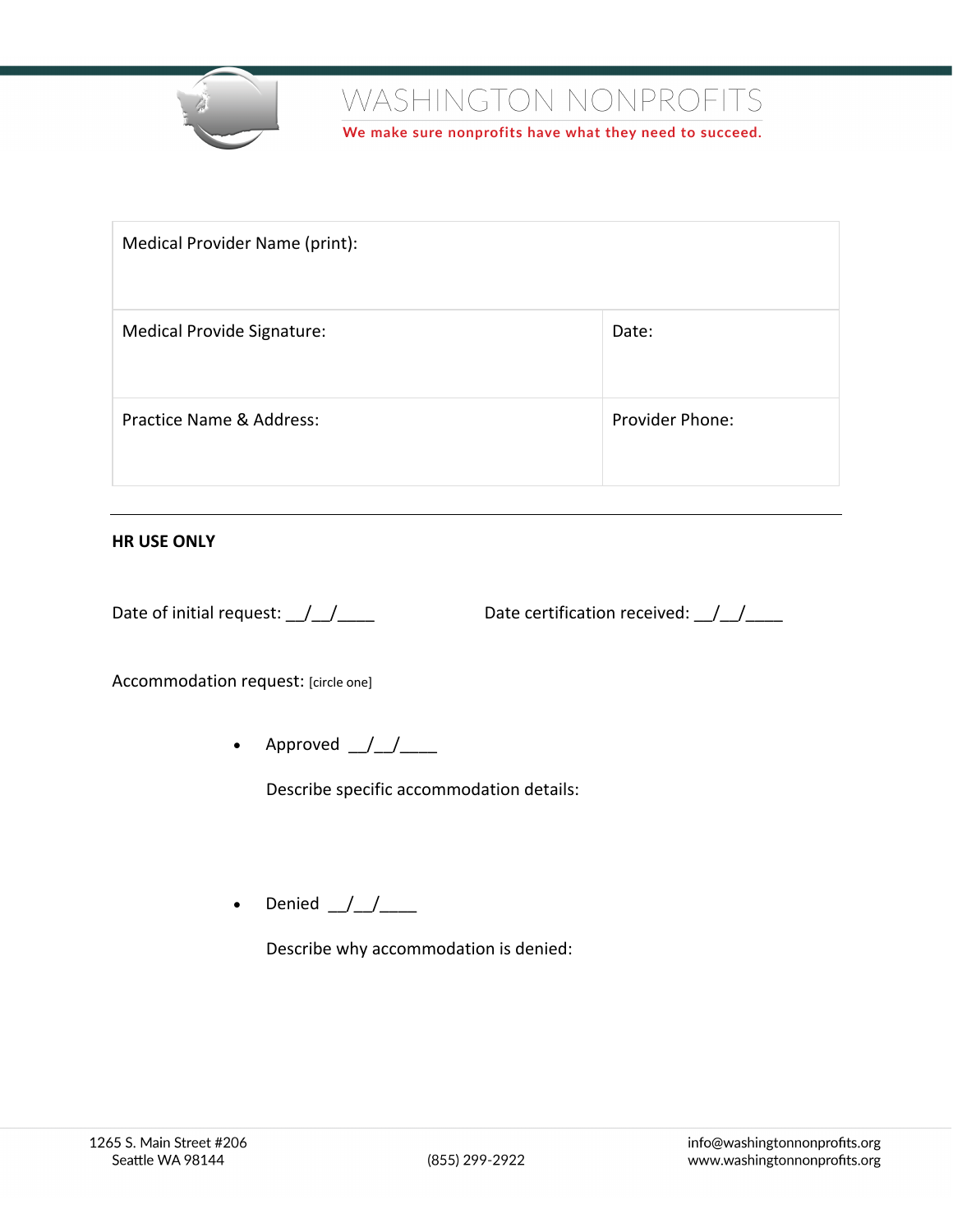

We make sure nonprofits have what they need to succeed.

| Medical Provider Name (print):    |                 |
|-----------------------------------|-----------------|
| <b>Medical Provide Signature:</b> | Date:           |
| Practice Name & Address:          | Provider Phone: |

#### **HR USE ONLY**

Date of initial request:  $\frac{1}{2}$   $\frac{1}{2}$  Date certification received:  $\frac{1}{2}$   $\frac{1}{2}$ 

Accommodation request: [circle one]

• Approved  $/$  /

Describe specific accommodation details:

• Denied  $\frac{1}{\sqrt{1-\mu}}$ 

Describe why accommodation is denied: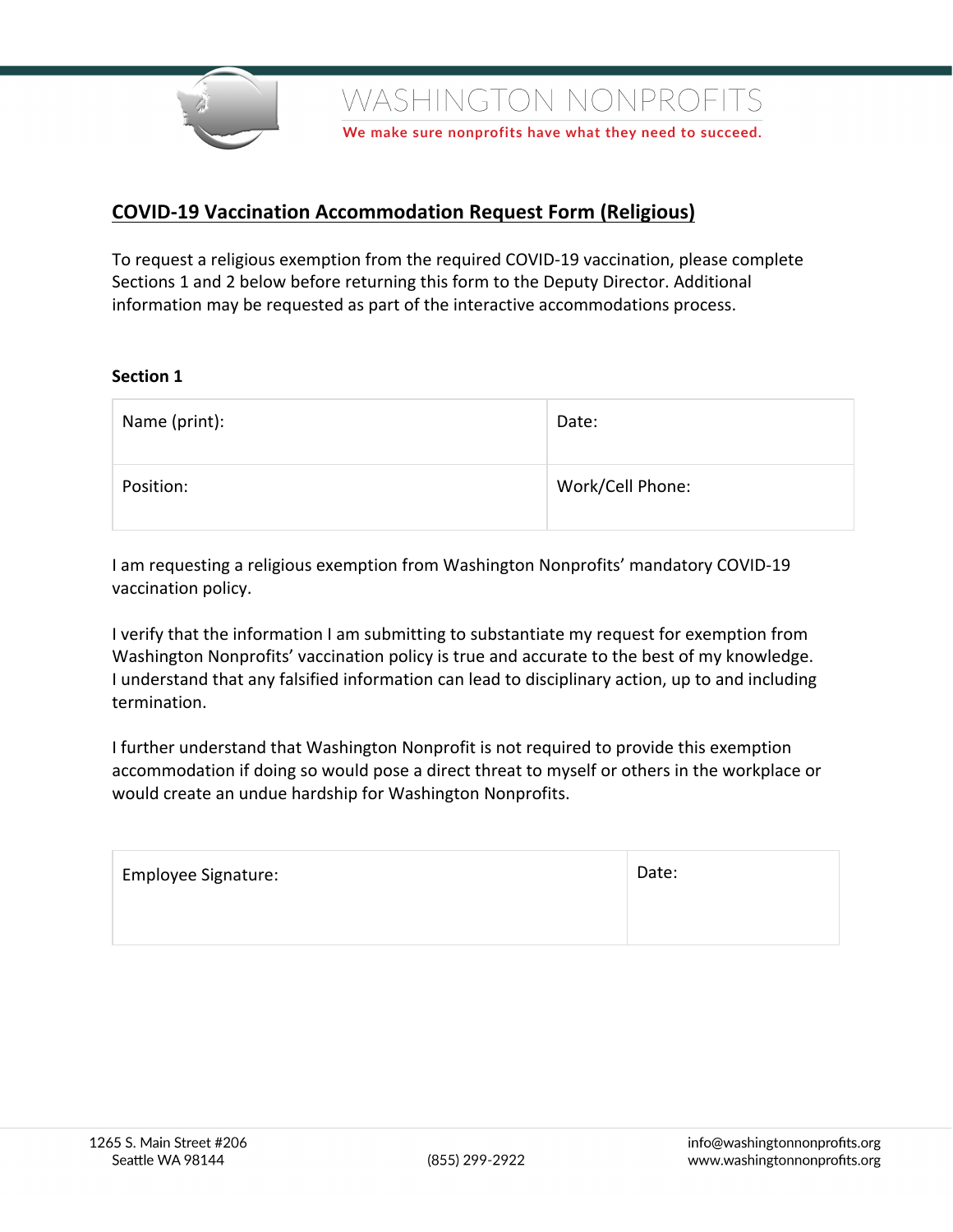

We make sure nonprofits have what they need to succeed.

# **COVID-19 Vaccination Accommodation Request Form (Religious)**

To request a religious exemption from the required COVID-19 vaccination, please complete Sections 1 and 2 below before returning this form to the Deputy Director. Additional information may be requested as part of the interactive accommodations process.

#### **Section 1**

| Name (print): | Date:            |
|---------------|------------------|
| Position:     | Work/Cell Phone: |

I am requesting a religious exemption from Washington Nonprofits' mandatory COVID-19 vaccination policy.

I verify that the information I am submitting to substantiate my request for exemption from Washington Nonprofits' vaccination policy is true and accurate to the best of my knowledge. I understand that any falsified information can lead to disciplinary action, up to and including termination.

I further understand that Washington Nonprofit is not required to provide this exemption accommodation if doing so would pose a direct threat to myself or others in the workplace or would create an undue hardship for Washington Nonprofits.

| <b>Employee Signature:</b> | Date: |
|----------------------------|-------|
|                            |       |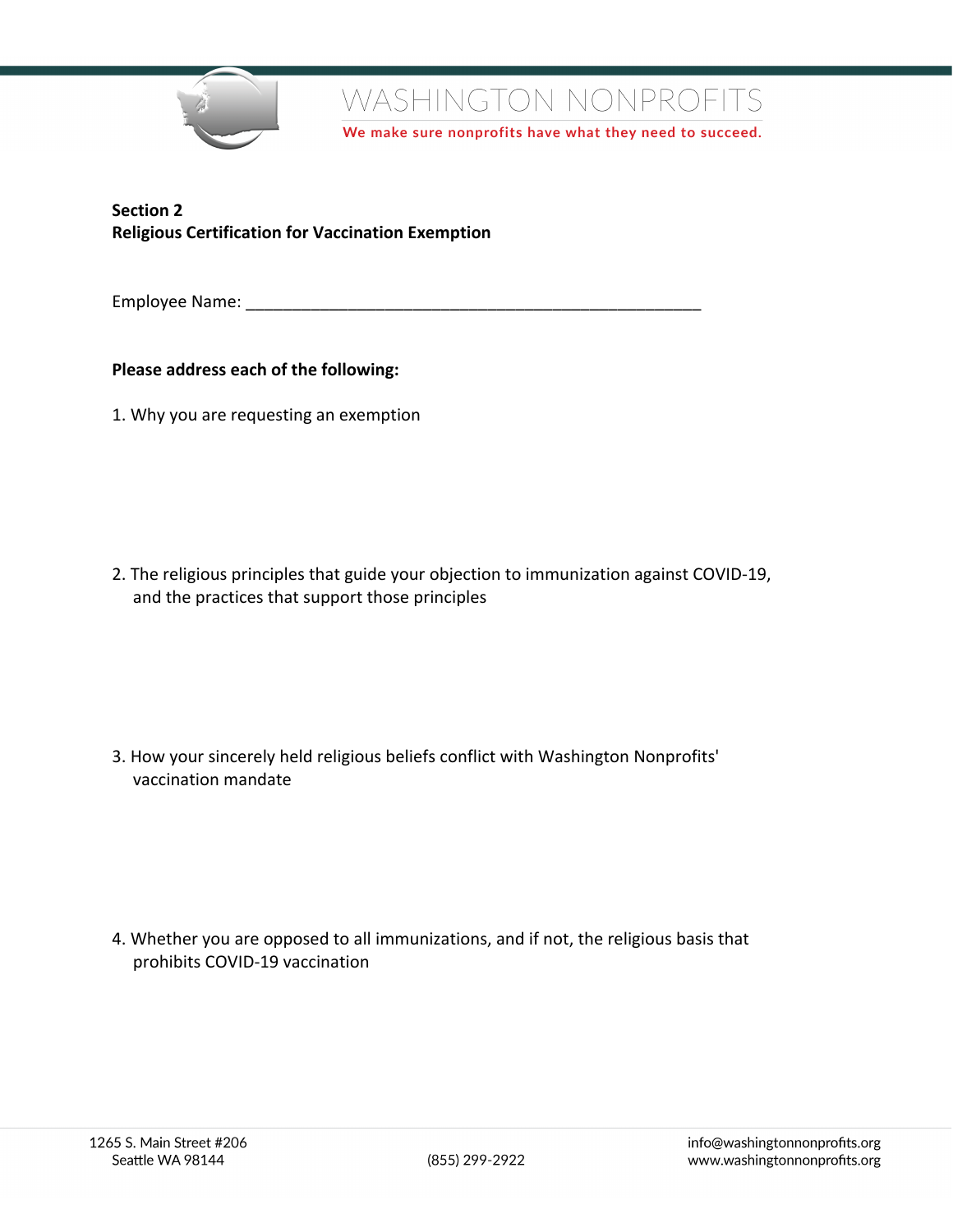

We make sure nonprofits have what they need to succeed.

**Section 2 Religious Certification for Vaccination Exemption**

Employee Name: **Employee Name:**  $\blacksquare$ 

### **Please address each of the following:**

1. Why you are requesting an exemption

2. The religious principles that guide your objection to immunization against COVID-19, and the practices that support those principles

3. How your sincerely held religious beliefs conflict with Washington Nonprofits' vaccination mandate

4. Whether you are opposed to all immunizations, and if not, the religious basis that prohibits COVID-19 vaccination